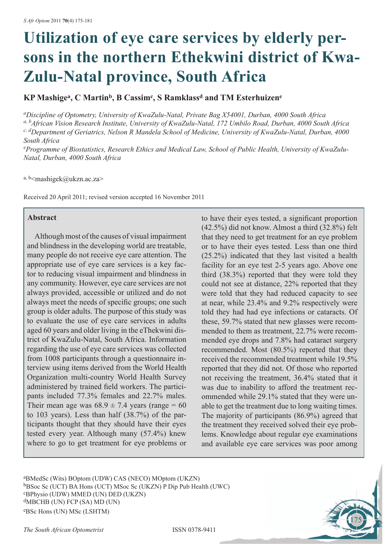# **Utilization of eye care services by elderly persons in the northern Ethekwini district of Kwa-Zulu-Natal province, South Africa**

**KP Mashigea, C Martinb, B Cassimc, S Ramklassd and TM Esterhuizene** 

*aDiscipline of Optometry, University of KwaZulu-Natal, Private Bag X54001, Durban, 4000 South Africa a, bAfrican Vision Research Institute, University of KwaZulu-Natal, 172 Umbilo Road, Durban, 4000 South Africa c, dDepartment of Geriatrics, Nelson R Mandela School of Medicine, University of KwaZulu-Natal, Durban, 4000 South Africa*

*e Programme of Biostatistics, Research Ethics and Medical Law, School of Public Health, University of KwaZulu-Natal, Durban, 4000 South Africa*

a, b $\leq$ mashigek@ukzn.ac.za>

Received 20 April 2011; revised version accepted 16 November 2011

#### **Abstract**

Although most of the causes of visual impairment and blindness in the developing world are treatable, many people do not receive eye care attention. The appropriate use of eye care services is a key factor to reducing visual impairment and blindness in any community. However, eye care services are not always provided, accessible or utilized and do not always meet the needs of specific groups; one such group is older adults. The purpose of this study was to evaluate the use of eye care services in adults aged 60 years and older living in the eThekwini district of KwaZulu-Natal, South Africa. Information regarding the use of eye care services was collected from 1008 participants through a questionnaire interview using items derived from the World Health Organization multi-country World Health Survey administered by trained field workers. The participants included 77.3% females and 22.7% males. Their mean age was  $68.9 \pm 7.4$  years (range = 60) to 103 years). Less than half (38.7%) of the participants thought that they should have their eyes tested every year. Although many (57.4%) knew where to go to get treatment for eye problems or

to have their eyes tested, a significant proportion (42.5%) did not know. Almost a third (32.8%) felt that they need to get treatment for an eye problem or to have their eyes tested. Less than one third (25.2%) indicated that they last visited a health facility for an eye test 2-5 years ago. Above one third (38.3%) reported that they were told they could not see at distance, 22% reported that they were told that they had reduced capacity to see at near, while 23.4% and 9.2% respectively were told they had had eye infections or cataracts. Of these, 59.7% stated that new glasses were recommended to them as treatment, 22.7% were recommended eye drops and 7.8% had cataract surgery recommended. Most (80.5%) reported that they received the recommended treatment while 19.5% reported that they did not. Of those who reported not receiving the treatment, 36.4% stated that it was due to inability to afford the treatment recommended while 29.1% stated that they were unable to get the treatment due to long waiting times. The majority of participants (86.9%) agreed that the treatment they received solved their eye problems. Knowledge about regular eye examinations and available eye care services was poor among

175

aBMedSc (Wits) BOptom (UDW) CAS (NECO) MOptom (UKZN) bBSoc Sc (UCT) BA Hons (UCT) MSoc Sc (UKZN) P Dip Pub Health (UWC) cBPhysio (UDW) MMED (UN) DED (UKZN) dMBCHB (UN) FCP (SA) MD (UN) eBSc Hons (UN) MSc (LSHTM)

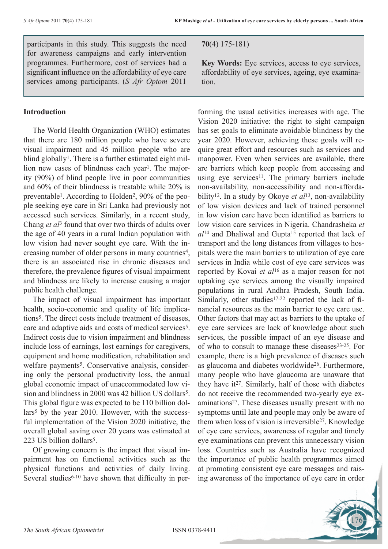participants in this study. This suggests the need for awareness campaigns and early intervention programmes. Furthermore, cost of services had a significant influence on the affordability of eye care services among participants. (*S Afr Optom* 2011

#### **Introduction**

The World Health Organization (WHO) estimates that there are 180 million people who have severe visual impairment and 45 million people who are blind globally<sup>1</sup>. There is a further estimated eight million new cases of blindness each year<sup>1</sup>. The majority (90%) of blind people live in poor communities and 60% of their blindness is treatable while 20% is preventable1. According to Holden2, 90% of the people seeking eye care in Sri Lanka had previously not accessed such services. Similarly, in a recent study, Chang *et al*3 found that over two thirds of adults over the age of 40 years in a rural Indian population with low vision had never sought eye care. With the increasing number of older persons in many countries<sup>4</sup>, there is an associated rise in chronic diseases and therefore, the prevalence figures of visual impairment and blindness are likely to increase causing a major public health challenge.

The impact of visual impairment has important health, socio-economic and quality of life implications5. The direct costs include treatment of diseases, care and adaptive aids and costs of medical services<sup>5</sup>. Indirect costs due to vision impairment and blindness include loss of earnings, lost earnings for caregivers, equipment and home modification, rehabilitation and welfare payments<sup>5</sup>. Conservative analysis, considering only the personal productivity loss, the annual global economic impact of unaccommodated low vision and blindness in 2000 was 42 billion US dollars<sup>5</sup>. This global figure was expected to be 110 billion dollars<sup>5</sup> by the year 2010. However, with the successful implementation of the Vision 2020 initiative, the overall global saving over 20 years was estimated at 223 US billion dollars<sup>5</sup>.

Of growing concern is the impact that visual impairment has on functional activities such as the physical functions and activities of daily living. Several studies<sup>6-10</sup> have shown that difficulty in per**70**(4) 175-181)

**Key Words:** Eye services, access to eye services, affordability of eye services, ageing, eye examination.

forming the usual activities increases with age. The Vision 2020 initiative: the right to sight campaign has set goals to eliminate avoidable blindness by the year 2020. However, achieving these goals will require great effort and resources such as services and manpower. Even when services are available, there are barriers which keep people from accessing and using eye services<sup>11</sup>. The primary barriers include non-availability, non-accessibility and non-affordability12. In a study by Okoye *et al*13, non-availability of low vision devices and lack of trained personnel in low vision care have been identified as barriers to low vision care services in Nigeria. Chandrasheka *et al*14 and Dhaliwal and Gupta15 reported that lack of transport and the long distances from villages to hospitals were the main barriers to utilization of eye care services in India while cost of eye care services was reported by Kovai *et al*16 as a major reason for not uptaking eye services among the visually impaired populations in rural Andhra Pradesh, South India. Similarly, other studies<sup>17-22</sup> reported the lack of financial resources as the main barrier to eye care use. Other factors that may act as barriers to the uptake of eye care services are lack of knowledge about such services, the possible impact of an eye disease and of who to consult to manage these diseases<sup>23-25</sup>. For example, there is a high prevalence of diseases such as glaucoma and diabetes worldwide26. Furthermore, many people who have glaucoma are unaware that they have it<sup>27</sup>. Similarly, half of those with diabetes do not receive the recommended two-yearly eye examinations27. These diseases usually present with no symptoms until late and people may only be aware of them when loss of vision is irreversible27. Knowledge of eye care services, awareness of regular and timely eye examinations can prevent this unnecessary vision loss. Countries such as Australia have recognized the importance of public health programmes aimed at promoting consistent eye care messages and raising awareness of the importance of eye care in order

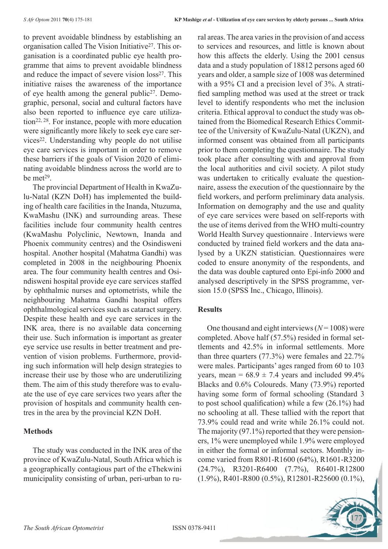to prevent avoidable blindness by establishing an organisation called The Vision Initiative<sup>27</sup>. This organisation is a coordinated public eye health programme that aims to prevent avoidable blindness and reduce the impact of severe vision loss<sup>27</sup>. This initiative raises the awareness of the importance of eye health among the general public27. Demographic, personal, social and cultural factors have also been reported to influence eye care utilization22, 28. For instance, people with more education were significantly more likely to seek eye care services22. Understanding why people do not utilise eye care services is important in order to remove these barriers if the goals of Vision 2020 of eliminating avoidable blindness across the world are to be met<sup>29</sup>.

The provincial Department of Health in KwaZulu-Natal (KZN DoH) has implemented the building of health care facilities in the Inanda, Ntuzuma, KwaMashu (INK) and surrounding areas. These facilities include four community health centres (KwaMashu Polyclinic, Newtown, Inanda and Phoenix community centres) and the Osindisweni hospital. Another hospital (Mahatma Gandhi) was completed in 2008 in the neighbouring Phoenix area. The four community health centres and Osindisweni hospital provide eye care services staffed by ophthalmic nurses and optometrists, while the neighbouring Mahatma Gandhi hospital offers ophthalmological services such as cataract surgery. Despite these health and eye care services in the INK area, there is no available data concerning their use. Such information is important as greater eye service use results in better treatment and prevention of vision problems. Furthermore, providing such information will help design strategies to increase their use by those who are underutilizing them. The aim of this study therefore was to evaluate the use of eye care services two years after the provision of hospitals and community health centres in the area by the provincial KZN DoH.

## **Methods**

The study was conducted in the INK area of the province of KwaZulu-Natal, South Africa which is a geographically contagious part of the eThekwini municipality consisting of urban, peri-urban to rural areas. The area varies in the provision of and access to services and resources, and little is known about how this affects the elderly. Using the 2001 census data and a study population of 18812 persons aged 60 years and older, a sample size of 1008 was determined with a 95% CI and a precision level of 3%. A stratified sampling method was used at the street or track level to identify respondents who met the inclusion criteria. Ethical approval to conduct the study was obtained from the Biomedical Research Ethics Committee of the University of KwaZulu-Natal (UKZN), and informed consent was obtained from all participants prior to them completing the questionnaire. The study took place after consulting with and approval from the local authorities and civil society. A pilot study was undertaken to critically evaluate the questionnaire, assess the execution of the questionnaire by the field workers, and perform preliminary data analysis. Information on demography and the use and quality of eye care services were based on self-reports with the use of items derived from the WHO multi-country World Health Survey questionnaire . Interviews were conducted by trained field workers and the data analysed by a UKZN statistician. Questionnaires were coded to ensure anonymity of the respondents, and the data was double captured onto Epi-info 2000 and analysed descriptively in the SPSS programme, version 15.0 (SPSS Inc., Chicago, Illinois).

## **Results**

One thousand and eight interviews (*N* = 1008) were completed. Above half (57.5%) resided in formal settlements and 42.5% in informal settlements. More than three quarters (77.3%) were females and 22.7% were males. Participants' ages ranged from 60 to 103 years, mean =  $68.9 \pm 7.4$  years and included 99.4% Blacks and 0.6% Coloureds. Many (73.9%) reported having some form of formal schooling (Standard 3 to post school qualification) while a few (26.1%) had no schooling at all. These tallied with the report that 73.9% could read and write while 26.1% could not. The majority (97.1%) reported that they were pensioners, 1% were unemployed while 1.9% were employed in either the formal or informal sectors. Monthly income varied from R801-R1600 (64%), R1601-R3200 (24.7%), R3201-R6400 (7.7%), R6401-R12800 (1.9%), R401-R800 (0.5%), R12801-R25600 (0.1%),

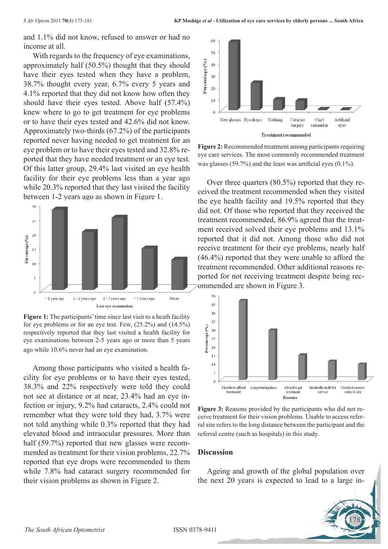and 1.1% did not know, refused to answer or had no income at all.

With regards to the frequency of eye examinations, approximately half (50.5%) thought that they should have their eyes tested when they have a problem, 38.7% thought every year, 6.7% every 5 years and 4.1% reported that they did not know how often they should have their eyes tested. Above half (57.4%) knew where to go to get treatment for eye problems or to have their eyes tested and 42.6% did not know. Approximately two-thirds (67.2%) of the participants reported never having needed to get treatment for an eye problem or to have their eyes tested and 32.8% reported that they have needed treatment or an eye test. Of this latter group, 29.4% last visited an eye health facility for their eye problems less than a year ago while 20.3% reported that they last visited the facility between 1-2 years ago as shown in Figure 1.



**Figure 1:** The participants' time since last visit to a heath facility for eye problems or for an eye test. Few, (25.2%) and (14.5%) respectively reported that they last visited a health facility for eye examinations between 2-5 years ago or more than 5 years ago while 10.6% never had an eye examination.

Among those participants who visited a health facility for eye problems or to have their eyes tested, 38.3% and 22% respectively were told they could not see at distance or at near, 23.4% had an eye infection or injury, 9.2% had cataracts, 2.4% could not remember what they were told they had, 3.7% were not told anything while 0.3% reported that they had elevated blood and intraocular pressures. More than half (59.7%) reported that new glasses were recommended as treatment for their vision problems, 22.7% reported that eye drops were recommended to them while 7.8% had cataract surgery recommended for their vision problems as shown in Figure 2.



**Figure 2:** Recommended treatment among participants requiring eye care services. The most commonly recommended treatment was glasses (59.7%) and the least was artificial eyes (0.1%).

Over three quarters (80.5%) reported that they received the treatment recommended when they visited the eye health facility and 19.5% reported that they did not. Of those who reported that they received the treatment recommended, 86.9% agreed that the treatment received solved their eye problems and 13.1% reported that it did not. Among those who did not receive treatment for their eye problems, nearly half (46.4%) reported that they were unable to afford the treatment recommended. Other additional reasons reported for not receiving treatment despite being recommended are shown in Figure 3.



**Figure 3:** Reasons provided by the participants who did not receive treatment for their vision problems. Unable to access referral site refers to the long distance between the participant and the referral centre (such as hospitals) in this study.

#### **Discussion**

Ageing and growth of the global population over the next 20 years is expected to lead to a large in-

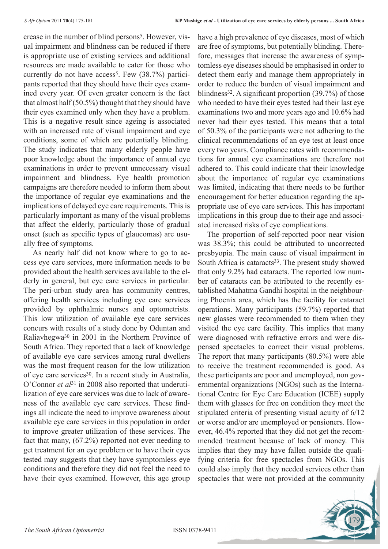crease in the number of blind persons<sup>5</sup>. However, visual impairment and blindness can be reduced if there is appropriate use of existing services and additional resources are made available to cater for those who currently do not have access<sup>5</sup>. Few  $(38.7%)$  participants reported that they should have their eyes examined every year. Of even greater concern is the fact that almost half (50.5%) thought that they should have their eyes examined only when they have a problem. This is a negative result since ageing is associated with an increased rate of visual impairment and eye conditions, some of which are potentially blinding. The study indicates that many elderly people have poor knowledge about the importance of annual eye examinations in order to prevent unnecessary visual impairment and blindness. Eye health promotion campaigns are therefore needed to inform them about the importance of regular eye examinations and the implications of delayed eye care requirements. This is particularly important as many of the visual problems that affect the elderly, particularly those of gradual onset (such as specific types of glaucomas) are usually free of symptoms.

As nearly half did not know where to go to access eye care services, more information needs to be provided about the health services available to the elderly in general, but eye care services in particular. The peri-urban study area has community centres, offering health services including eye care services provided by ophthalmic nurses and optometrists. This low utilization of available eye care services concurs with results of a study done by Oduntan and Raliavhegwa30 in 2001 in the Northern Province of South Africa. They reported that a lack of knowledge of available eye care services among rural dwellers was the most frequent reason for the low utilization of eye care services30. In a recent study in Australia, O'Connor *et al*31 in 2008 also reported that underutilization of eye care services was due to lack of awareness of the available eye care services. These findings all indicate the need to improve awareness about available eye care services in this population in order to improve greater utilization of these services. The fact that many, (67.2%) reported not ever needing to get treatment for an eye problem or to have their eyes tested may suggests that they have symptomless eye conditions and therefore they did not feel the need to have their eyes examined. However, this age group

have a high prevalence of eye diseases, most of which are free of symptoms, but potentially blinding. Therefore, messages that increase the awareness of symptomless eye diseases should be emphasised in order to detect them early and manage them appropriately in order to reduce the burden of visual impairment and blindness<sup>32</sup>. A significant proportion  $(39.7%)$  of those who needed to have their eyes tested had their last eye examinations two and more years ago and 10.6% had never had their eyes tested. This means that a total of 50.3% of the participants were not adhering to the clinical recommendations of an eye test at least once every two years. Compliance rates with recommendations for annual eye examinations are therefore not adhered to. This could indicate that their knowledge about the importance of regular eye examinations was limited, indicating that there needs to be further encouragement for better education regarding the appropriate use of eye care services. This has important implications in this group due to their age and associated increased risks of eye complications.

The proportion of self-reported poor near vision was 38.3%; this could be attributed to uncorrected presbyopia. The main cause of visual impairment in South Africa is cataracts<sup>33</sup>. The present study showed that only 9.2% had cataracts. The reported low number of cataracts can be attributed to the recently established Mahatma Gandhi hospital in the neighbouring Phoenix area, which has the facility for cataract operations. Many participants (59.7%) reported that new glasses were recommended to them when they visited the eye care facility. This implies that many were diagnosed with refractive errors and were dispensed spectacles to correct their visual problems. The report that many participants (80.5%) were able to receive the treatment recommended is good. As these participants are poor and unemployed, non governmental organizations (NGOs) such as the International Centre for Eye Care Education (ICEE) supply them with glasses for free on condition they meet the stipulated criteria of presenting visual acuity of 6/12 or worse and/or are unemployed or pensioners. However, 46.4% reported that they did not get the recommended treatment because of lack of money. This implies that they may have fallen outside the qualifying criteria for free spectacles from NGOs. This could also imply that they needed services other than spectacles that were not provided at the community

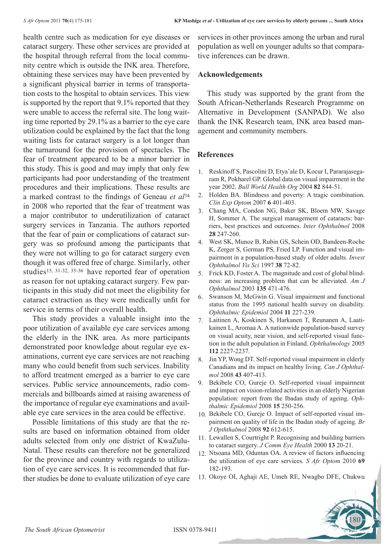health centre such as medication for eye diseases or cataract surgery. These other services are provided at the hospital through referral from the local community centre which is outside the INK area. Therefore, obtaining these services may have been prevented by a significant physical barrier in terms of transportation costs to the hospital to obtain services. This view is supported by the report that 9.1% reported that they were unable to access the referral site. The long waiting time reported by 29.1% as a barrier to the eye care utilization could be explained by the fact that the long waiting lists for cataract surgery is a lot longer than the turnaround for the provision of spectacles. The fear of treatment appeared to be a minor barrier in this study. This is good and may imply that only few participants had poor understanding of the treatment procedures and their implications. These results are a marked contrast to the findings of Geneau *et al*<sup>34</sup> in 2008 who reported that the fear of treatment was a major contributor to underutilization of cataract surgery services in Tanzania. The authors reported that the fear of pain or complications of cataract surgery was so profound among the participants that they were not willing to go for cataract surgery even though it was offered free of charge. Similarly, other studies15, 31-32, 35-36 have reported fear of operation as reason for not uptaking cataract surgery. Few participants in this study did not meet the eligibility for cataract extraction as they were medically unfit for service in terms of their overall health.

This study provides a valuable insight into the poor utilization of available eye care services among the elderly in the INK area. As more participants demonstrated poor knowledge about regular eye examinations, current eye care services are not reaching many who could benefit from such services. Inability to afford treatment emerged as a barrier to eye care services. Public service announcements, radio commercials and billboards aimed at raising awareness of the importance of regular eye examinations and available eye care services in the area could be effective.

Possible limitations of this study are that the results are based on information obtained from older adults selected from only one district of KwaZulu-Natal. These results can therefore not be generalized for the province and country with regards to utilization of eye care services. It is recommended that further studies be done to evaluate utilization of eye care

services in other provinces among the urban and rural population as well on younger adults so that comparative inferences can be drawn.

#### **Acknowledgements**

This study was supported by the grant from the South African-Netherlands Research Programme on Alternative in Development (SANPAD). We also thank the INK Research team, INK area based management and community members.

## **References**

- 1. Reskinoff S, Pascolini D, Etya'ale D, Kocur I, Pararajasegaram R, Pokharel GP. Global data on visual impairment in the year 2002. *Bull World Health Org* 2004 **82** 844-51.
- 2. Holden BA. Blindness and poverty: A tragic combination. *Clin Exp Optom* 2007 **6** 401-403.
- 3. Chang MA, Condon NG, Baker SK, Bloem MW, Savage H, Sommer A. The surgical management of cataracts: barriers, best practices and outcomes. *Inter Ophthalmol* 2008 **28** 247-260.
- 4. West SK, Munoz B, Rubin GS, Schein OD, Bandeen-Roche K, Zerger S, German PS, Fried LP. Function and visual impairment in a population-based study of older adults. *Invest Ophthalmol Vis Sci* 1997 **38** 72-82.
- 5. Frick KD, Foster A. The magnitude and cost of global blindness: an increasing problem that can be alleviated. *Am J Ophthalmol* 2003 **135** 471-476.
- 6. Swanson M, McGwin G. Visual impairment and functional status from the 1995 national health survey on disability. *Ophthalmic Epidemiol* 2004 **11** 227-239.
- 7. Laitinen A, Koskinen S, Harkanen T, Reunanen A, Laatikainen L, Aromaa A. A nationwide population-based survey on visual acuity, near vision, and self-reported visual function in the adult population in Finland. *Ophthalmology* 2005 **112** 2227-2237.
- 8. Jin YP, Wong DT. Self-reported visual impairment in elderly Canadians and its impact on healthy living. *Can J Ophthalmol* 2008 **43** 407-413.
- 9. Bekibele CO, Gureje O. Self-reported visual impairment and impact on vision-related activities in an elderly Nigerian population: report from the Ibadan study of ageing. *Ophthalmic Epidemiol* 2008 **15** 250-256.
- 10. Bekibele CO, Gureje O. Impact of self-reported visual impairment on quality of life in the Ibadan study of ageing. *Br J Opththalmol* 2008 **92** 612-615.
- 11. Lewallen S, Courtright P. Recognising and building barriers to cataract surgery. *J Comm Eye Health* 2000 **13** 20-21.
- 12. Ntsoana MD, Oduntan OA. A review of factors influencing the utilization of eye care services. *S Afr Optom* 2010 **69**  182-193.
- 13. Okoye OI, Aghaji AE, Umeh RE, Nwagbo DFE, Chukwu